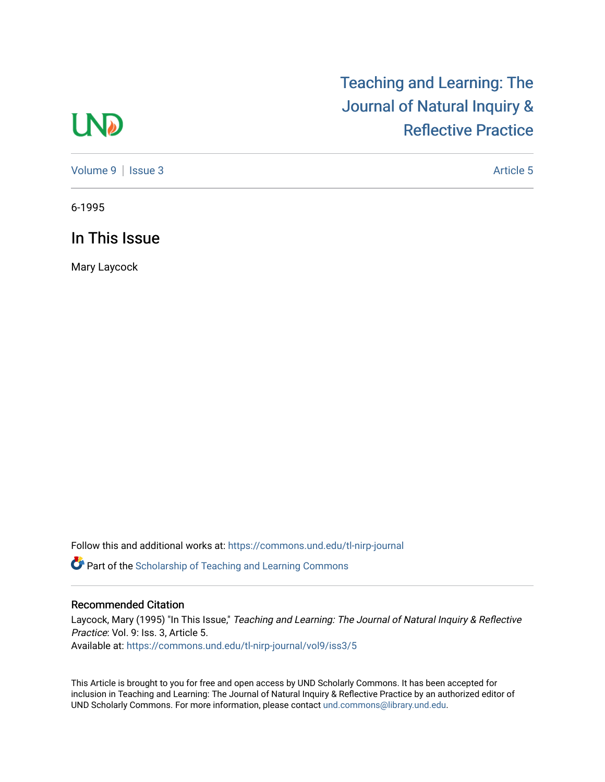## **LND**

## [Teaching and Learning: The](https://commons.und.edu/tl-nirp-journal)  [Journal of Natural Inquiry &](https://commons.und.edu/tl-nirp-journal)  [Reflective Practice](https://commons.und.edu/tl-nirp-journal)

[Volume 9](https://commons.und.edu/tl-nirp-journal/vol9) | [Issue 3](https://commons.und.edu/tl-nirp-journal/vol9/iss3) Article 5

6-1995

In This Issue

Mary Laycock

Follow this and additional works at: [https://commons.und.edu/tl-nirp-journal](https://commons.und.edu/tl-nirp-journal?utm_source=commons.und.edu%2Ftl-nirp-journal%2Fvol9%2Fiss3%2F5&utm_medium=PDF&utm_campaign=PDFCoverPages) 

**P** Part of the Scholarship of Teaching and Learning Commons

## Recommended Citation

Laycock, Mary (1995) "In This Issue," Teaching and Learning: The Journal of Natural Inquiry & Reflective Practice: Vol. 9: Iss. 3, Article 5. Available at: [https://commons.und.edu/tl-nirp-journal/vol9/iss3/5](https://commons.und.edu/tl-nirp-journal/vol9/iss3/5?utm_source=commons.und.edu%2Ftl-nirp-journal%2Fvol9%2Fiss3%2F5&utm_medium=PDF&utm_campaign=PDFCoverPages)

This Article is brought to you for free and open access by UND Scholarly Commons. It has been accepted for inclusion in Teaching and Learning: The Journal of Natural Inquiry & Reflective Practice by an authorized editor of UND Scholarly Commons. For more information, please contact [und.commons@library.und.edu.](mailto:und.commons@library.und.edu)